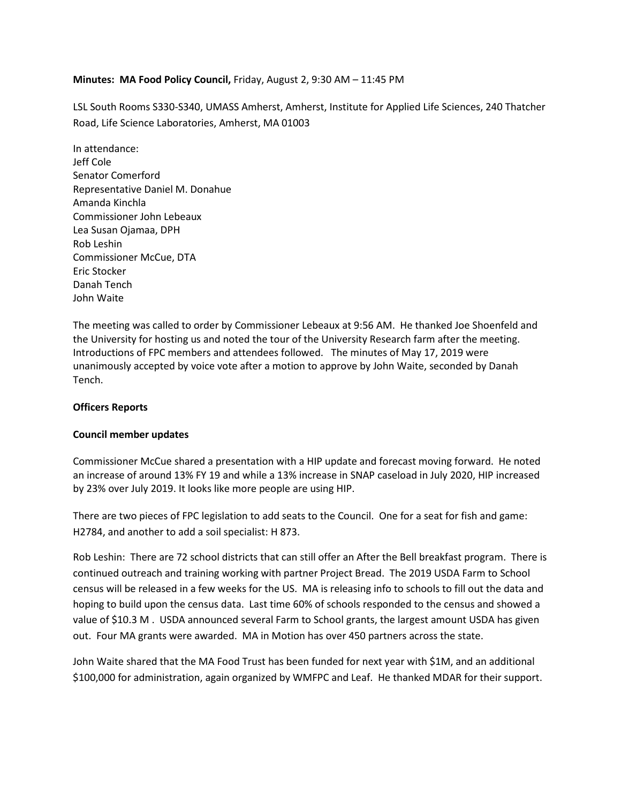## **Minutes: MA Food Policy Council,** Friday, August 2, 9:30 AM – 11:45 PM

LSL South Rooms S330-S340, UMASS Amherst, Amherst, Institute for Applied Life Sciences, 240 Thatcher Road, Life Science Laboratories, Amherst, MA 01003

In attendance: Jeff Cole Senator Comerford Representative Daniel M. Donahue Amanda Kinchla Commissioner John Lebeaux Lea Susan Ojamaa, DPH Rob Leshin Commissioner McCue, DTA Eric Stocker Danah Tench John Waite

The meeting was called to order by Commissioner Lebeaux at 9:56 AM. He thanked Joe Shoenfeld and the University for hosting us and noted the tour of the University Research farm after the meeting. Introductions of FPC members and attendees followed. The minutes of May 17, 2019 were unanimously accepted by voice vote after a motion to approve by John Waite, seconded by Danah Tench.

## **Officers Reports**

## **Council member updates**

Commissioner McCue shared a presentation with a HIP update and forecast moving forward. He noted an increase of around 13% FY 19 and while a 13% increase in SNAP caseload in July 2020, HIP increased by 23% over July 2019. It looks like more people are using HIP.

There are two pieces of FPC legislation to add seats to the Council. One for a seat for fish and game: H2784, and another to add a soil specialist: H 873.

Rob Leshin: There are 72 school districts that can still offer an After the Bell breakfast program. There is continued outreach and training working with partner Project Bread. The 2019 USDA Farm to School census will be released in a few weeks for the US. MA is releasing info to schools to fill out the data and hoping to build upon the census data. Last time 60% of schools responded to the census and showed a value of \$10.3 M . USDA announced several Farm to School grants, the largest amount USDA has given out. Four MA grants were awarded. MA in Motion has over 450 partners across the state.

John Waite shared that the MA Food Trust has been funded for next year with \$1M, and an additional \$100,000 for administration, again organized by WMFPC and Leaf. He thanked MDAR for their support.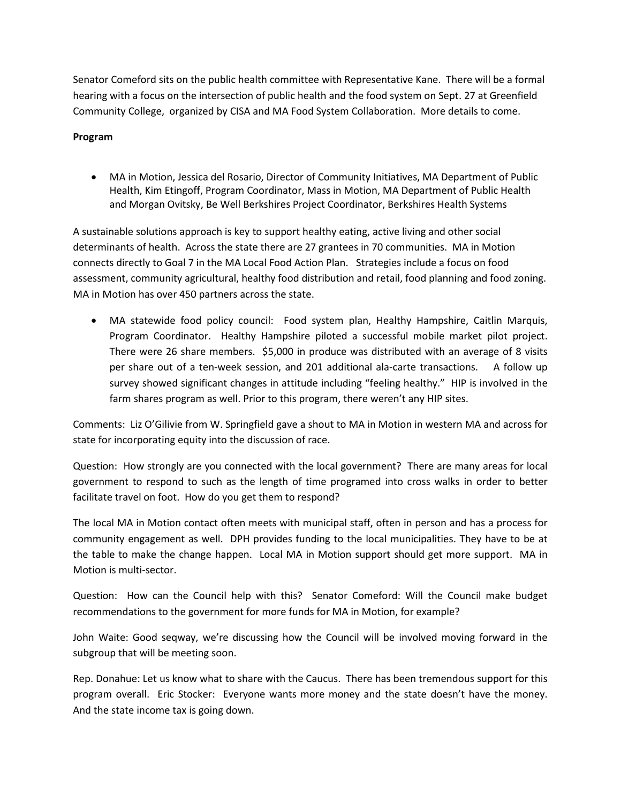Senator Comeford sits on the public health committee with Representative Kane. There will be a formal hearing with a focus on the intersection of public health and the food system on Sept. 27 at Greenfield Community College, organized by CISA and MA Food System Collaboration. More details to come.

## **Program**

• MA in Motion, Jessica del Rosario, Director of Community Initiatives, MA Department of Public Health, Kim Etingoff, Program Coordinator, Mass in Motion, MA Department of Public Health and Morgan Ovitsky, Be Well Berkshires Project Coordinator, Berkshires Health Systems

A sustainable solutions approach is key to support healthy eating, active living and other social determinants of health. Across the state there are 27 grantees in 70 communities. MA in Motion connects directly to Goal 7 in the MA Local Food Action Plan. Strategies include a focus on food assessment, community agricultural, healthy food distribution and retail, food planning and food zoning. MA in Motion has over 450 partners across the state.

• MA statewide food policy council:Food system plan, Healthy Hampshire, Caitlin Marquis, Program Coordinator. Healthy Hampshire piloted a successful mobile market pilot project. There were 26 share members. \$5,000 in produce was distributed with an average of 8 visits per share out of a ten-week session, and 201 additional ala-carte transactions. A follow up survey showed significant changes in attitude including "feeling healthy." HIP is involved in the farm shares program as well. Prior to this program, there weren't any HIP sites.

Comments: Liz O'Gilivie from W. Springfield gave a shout to MA in Motion in western MA and across for state for incorporating equity into the discussion of race.

Question: How strongly are you connected with the local government? There are many areas for local government to respond to such as the length of time programed into cross walks in order to better facilitate travel on foot. How do you get them to respond?

The local MA in Motion contact often meets with municipal staff, often in person and has a process for community engagement as well. DPH provides funding to the local municipalities. They have to be at the table to make the change happen. Local MA in Motion support should get more support. MA in Motion is multi-sector.

Question: How can the Council help with this? Senator Comeford: Will the Council make budget recommendations to the government for more funds for MA in Motion, for example?

John Waite: Good seqway, we're discussing how the Council will be involved moving forward in the subgroup that will be meeting soon.

Rep. Donahue: Let us know what to share with the Caucus. There has been tremendous support for this program overall. Eric Stocker: Everyone wants more money and the state doesn't have the money. And the state income tax is going down.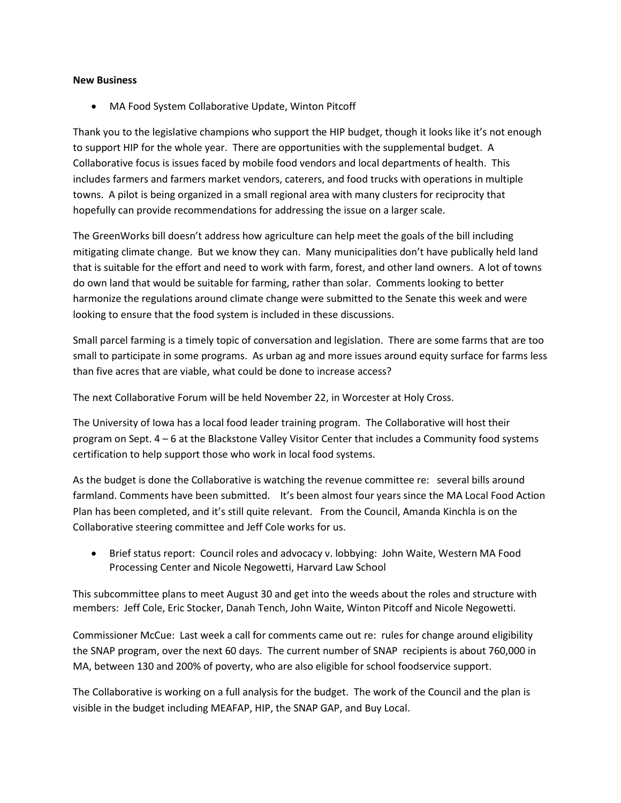#### **New Business**

• MA Food System Collaborative Update, Winton Pitcoff

Thank you to the legislative champions who support the HIP budget, though it looks like it's not enough to support HIP for the whole year. There are opportunities with the supplemental budget. A Collaborative focus is issues faced by mobile food vendors and local departments of health. This includes farmers and farmers market vendors, caterers, and food trucks with operations in multiple towns. A pilot is being organized in a small regional area with many clusters for reciprocity that hopefully can provide recommendations for addressing the issue on a larger scale.

The GreenWorks bill doesn't address how agriculture can help meet the goals of the bill including mitigating climate change. But we know they can. Many municipalities don't have publically held land that is suitable for the effort and need to work with farm, forest, and other land owners. A lot of towns do own land that would be suitable for farming, rather than solar. Comments looking to better harmonize the regulations around climate change were submitted to the Senate this week and were looking to ensure that the food system is included in these discussions.

Small parcel farming is a timely topic of conversation and legislation. There are some farms that are too small to participate in some programs. As urban ag and more issues around equity surface for farms less than five acres that are viable, what could be done to increase access?

The next Collaborative Forum will be held November 22, in Worcester at Holy Cross.

The University of Iowa has a local food leader training program. The Collaborative will host their program on Sept. 4 – 6 at the Blackstone Valley Visitor Center that includes a Community food systems certification to help support those who work in local food systems.

As the budget is done the Collaborative is watching the revenue committee re: several bills around farmland. Comments have been submitted. It's been almost four years since the MA Local Food Action Plan has been completed, and it's still quite relevant. From the Council, Amanda Kinchla is on the Collaborative steering committee and Jeff Cole works for us.

• Brief status report:Council roles and advocacy v. lobbying: John Waite, Western MA Food Processing Center and Nicole Negowetti, Harvard Law School

This subcommittee plans to meet August 30 and get into the weeds about the roles and structure with members: Jeff Cole, Eric Stocker, Danah Tench, John Waite, Winton Pitcoff and Nicole Negowetti.

Commissioner McCue: Last week a call for comments came out re: rules for change around eligibility the SNAP program, over the next 60 days. The current number of SNAP recipients is about 760,000 in MA, between 130 and 200% of poverty, who are also eligible for school foodservice support.

The Collaborative is working on a full analysis for the budget. The work of the Council and the plan is visible in the budget including MEAFAP, HIP, the SNAP GAP, and Buy Local.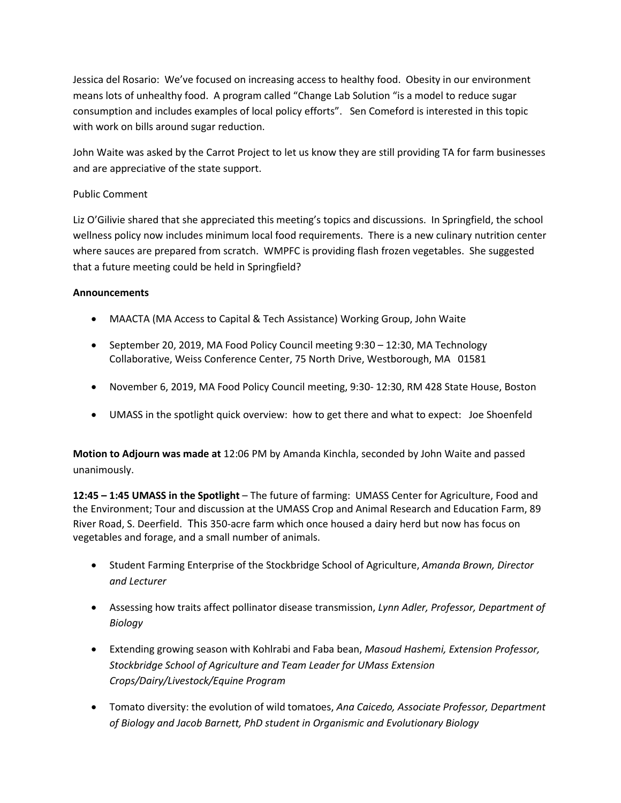Jessica del Rosario: We've focused on increasing access to healthy food. Obesity in our environment means lots of unhealthy food. A program called "Change Lab Solution "is a model to reduce sugar consumption and includes examples of local policy efforts". Sen Comeford is interested in this topic with work on bills around sugar reduction.

John Waite was asked by the Carrot Project to let us know they are still providing TA for farm businesses and are appreciative of the state support.

# Public Comment

Liz O'Gilivie shared that she appreciated this meeting's topics and discussions. In Springfield, the school wellness policy now includes minimum local food requirements. There is a new culinary nutrition center where sauces are prepared from scratch. WMPFC is providing flash frozen vegetables. She suggested that a future meeting could be held in Springfield?

## **Announcements**

- MAACTA (MA Access to Capital & Tech Assistance) Working Group, John Waite
- September 20, 2019, MA Food Policy Council meeting 9:30 12:30, MA Technology Collaborative, Weiss Conference Center, 75 North Drive, Westborough, MA 01581
- November 6, 2019, MA Food Policy Council meeting, 9:30- 12:30, RM 428 State House, Boston
- UMASS in the spotlight quick overview: how to get there and what to expect: Joe Shoenfeld

**Motion to Adjourn was made at** 12:06 PM by Amanda Kinchla, seconded by John Waite and passed unanimously.

**12:45 – 1:45 UMASS in the Spotlight** – The future of farming: UMASS Center for Agriculture, Food and the Environment; Tour and discussion at the UMASS Crop and Animal Research and Education Farm, 89 River Road, S. Deerfield. This 350-acre farm which once housed a dairy herd but now has focus on vegetables and forage, and a small number of animals.

- Student Farming Enterprise of the Stockbridge School of Agriculture, *Amanda Brown, Director and Lecturer*
- Assessing how traits affect pollinator disease transmission, *Lynn Adler, Professor, Department of Biology*
- Extending growing season with Kohlrabi and Faba bean, *Masoud Hashemi, Extension Professor, Stockbridge School of Agriculture and Team Leader for UMass Extension Crops/Dairy/Livestock/Equine Program*
- Tomato diversity: the evolution of wild tomatoes, *Ana Caicedo, Associate Professor, Department of Biology and Jacob Barnett, PhD student in Organismic and Evolutionary Biology*